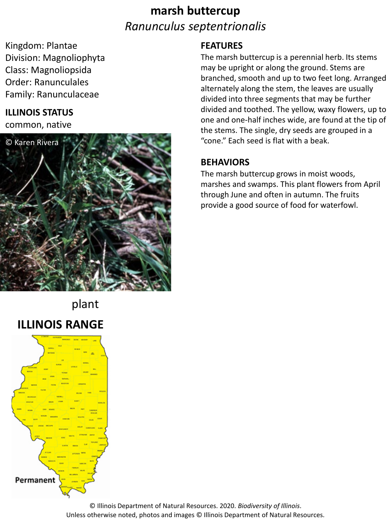## **marsh buttercup** *Ranunculus septentrionalis*

Kingdom: Plantae Division: Magnoliophyta Class: Magnoliopsida Order: Ranunculales Family: Ranunculaceae

### **ILLINOIS STATUS**

common, native



### **FEATURES**

The marsh buttercup is a perennial herb. Its stems may be upright or along the ground. Stems are branched, smooth and up to two feet long. Arranged alternately along the stem, the leaves are usually divided into three segments that may be further divided and toothed. The yellow, waxy flowers, up to one and one-half inches wide, are found at the tip of the stems. The single, dry seeds are grouped in a "cone." Each seed is flat with a beak.

#### **BEHAVIORS**

The marsh buttercup grows in moist woods, marshes and swamps. This plant flowers from April through June and often in autumn. The fruits provide a good source of food for waterfowl.

# plant **ILLINOIS RANGE**



© Illinois Department of Natural Resources. 2020. *Biodiversity of Illinois*. Unless otherwise noted, photos and images © Illinois Department of Natural Resources.